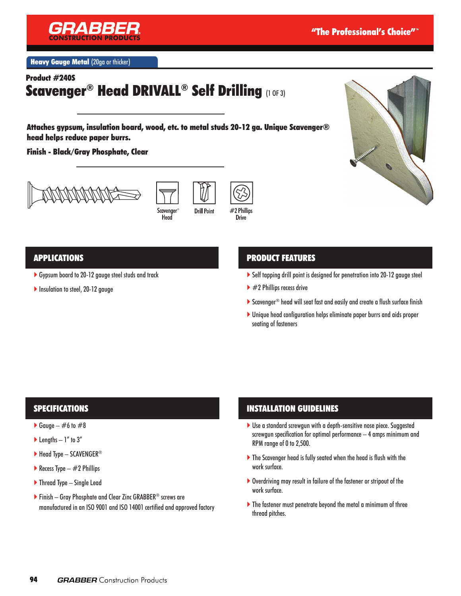

**Heavy Gauge Metal (20ga or thicker)** 

Product #240S

# Scavenger® Head DRIVALL® Self Drilling (1 OF 3)

Attaches gypsum, insulation board, wood, etc. to metal studs 20-12 ga. Unique Scavenger® head helps reduce paper burrs.

Finish - Black/Gray Phosphate, Clear







### APPLICATIONS

- Gypsum board to 20-12 gauge steel studs and track
- Insulation to steel, 20-12 gauge

## PRODUCT FEATURES

- Self tapping drill point is designed for penetration into 20-12 gauge steel
- $\blacktriangleright$  #2 Phillips recess drive
- ▶ Scavenger® head will seat fast and easily and create a flush surface finish
- Unique head configuration helps eliminate paper burrs and aids proper seating of fasteners

### SPECIFICATIONS

- Gauge  $\#6$  to  $\#8$
- $\blacktriangleright$  Lengths  $-1$ " to  $3$ "
- $\blacktriangleright$  Head Type SCAVENGER®
- Recess Type  $-$  #2 Phillips
- ▶ Thread Type Single Lead
- Finish Gray Phosphate and Clear Zinc GRABBER® screws are manufactured in an ISO 9001 and ISO 14001 certified and approved factory

### INSTALLATION GUIDELINES

- Use a standard screwgun with a depth-sensitive nose piece. Suggested screwgun specification for optimal performance – 4 amps minimum and RPM range of 0 to 2,500.
- The Scavenger head is fully seated when the head is flush with the work surface.
- Overdriving may result in failure of the fastener or stripout of the work surface.
- The fastener must penetrate beyond the metal a minimum of three thread pitches.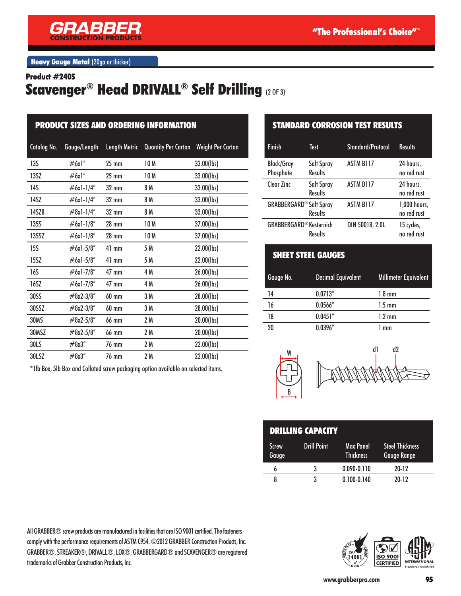

**Heavy Gauge Metal (20ga or thicker)** 

#### Product #240S

## Scavenger® Head DRIVALL® Self Drilling (2 OF 3)

| <b>PRODUCT SIZES AND ORDERING INFORMATION</b> |               |                      |                     |                          |  |
|-----------------------------------------------|---------------|----------------------|---------------------|--------------------------|--|
| Catalog No.                                   | Gauge/Length  | <b>Length Metric</b> | Quantity Per Carton | <b>Weight Per Carton</b> |  |
| 13S                                           | #6x1"         | $25 \text{ mm}$      | 10 M                | 33.00(lbs)               |  |
| 13SZ                                          | #6x1"         | $25 \text{ mm}$      | 10 M                | 33.00(lbs)               |  |
| 14S                                           | $#6x1-1/4"$   | $32 \text{ mm}$      | 8 M                 | 33.00(lbs)               |  |
| 14SZ                                          | $#6x1-1/4"$   | $32 \text{ mm}$      | 8 M                 | 33.00(lbs)               |  |
| 14SZ8                                         | $\#8x1-1/4"$  | $32 \text{ mm}$      | 8 M                 | 33.00(lbs)               |  |
| <b>135S</b>                                   | $#6x1-1/8"$   | $28 \text{ mm}$      | 10 <sub>M</sub>     | 37.00(lbs)               |  |
| 135SZ                                         | $\#6x1-1/8''$ | $28 \text{ mm}$      | 10 M                | 37.00(lbs)               |  |
| 15S                                           | $#6x1-5/8"$   | $41$ mm              | 5 M                 | 22.00(lbs)               |  |
| 15SZ                                          | $#6x1-5/8"$   | $41$ mm              | 5 M                 | 22.00(lbs)               |  |
| 16S                                           | $#6x1-7/8"$   | $47 \text{ mm}$      | 4 M                 | 26.00(lbs)               |  |
| 16SZ                                          | $#6x1-7/8"$   | 47 mm                | 4 M                 | 26.00(lbs)               |  |
| 30SS                                          | $\#8x2-3/8"$  | 60 mm                | 3 M                 | 28.00(lbs)               |  |
| 30SSZ                                         | $\#8x2-3/8"$  | 60 mm                | 3 M                 | 28.00(lbs)               |  |
| <b>30MS</b>                                   | $#8x2-5/8"$   | 66 mm                | 2 M                 | 20.00(lbs)               |  |
| 30MSZ                                         | $\#8x2-5/8"$  | 66 mm                | 2 M                 | 20.00(lbs)               |  |
| 30LS                                          | #8x3"         | 76 mm                | 2 M                 | 22.00(lbs)               |  |
| 30LSZ                                         | #8x3"         | 76 mm                | 2 M                 | 22.00(lbs)               |  |

\*1lb Box, 5lb Box and Collated screw packaging option available on selected items.

### STANDARD CORROSION TEST RESULTS

| <b>Finish</b>                  | Test                         | Standard/Protocol | <b>Results</b>              |
|--------------------------------|------------------------------|-------------------|-----------------------------|
| <b>Black/Gray</b><br>Phosphate | Salt Spray<br><b>Results</b> | <b>ASTM B117</b>  | 24 hours,<br>no red rust    |
| Clear Zinc                     | Salt Spray<br><b>Results</b> | <b>ASTM B117</b>  | 24 hours,<br>no red rust    |
| <b>GRABBERGARD® Salt Spray</b> | <b>Results</b>               | <b>ASTM B117</b>  | 1,000 hours,<br>no red rust |
| <b>GRABBERGARD® Kesternich</b> | <b>Results</b>               | DIN 50018, 2.0L   | 15 cycles,<br>no red rust   |

### SHEET STEEL GAUGES

| Gauge No. | Decimal Equivalent | Millimeter Equivalent |
|-----------|--------------------|-----------------------|
| 14        | 0.0713''           | $1.8 \text{ mm}$      |
| 16        | 0.0566''           | $1.5 \text{ mm}$      |
| 18        | 0.0451''           | $1.2 \text{ mm}$      |
| 20        | 0.0396''           | 1 mm                  |



| <b>DRILLING CAPACITY</b> |                    |                        |                                              |  |  |
|--------------------------|--------------------|------------------------|----------------------------------------------|--|--|
| <b>Screw</b><br>Gauge    | <b>Drill Point</b> | Max Panel<br>Thickness | <b>Steel Thickness</b><br><b>Gauge Range</b> |  |  |
| b                        | 3                  | $0.090 - 0.110$        | $20-12$                                      |  |  |
| 8                        | ર                  | $0.100 - 0.140$        | $20-12$                                      |  |  |

All GRABBER® screw products are manufactured in facilities that are ISO 9001 certified. The fasteners comply with the performance requirements of ASTM C954. ©2012 GRABBER Construction Products, Inc. GRABBER®, STREAKER®, DRIVALL®, LOX®, GRABBERGARD® and SCAVENGER® are registered trademarks of Grabber Construction Products, Inc.